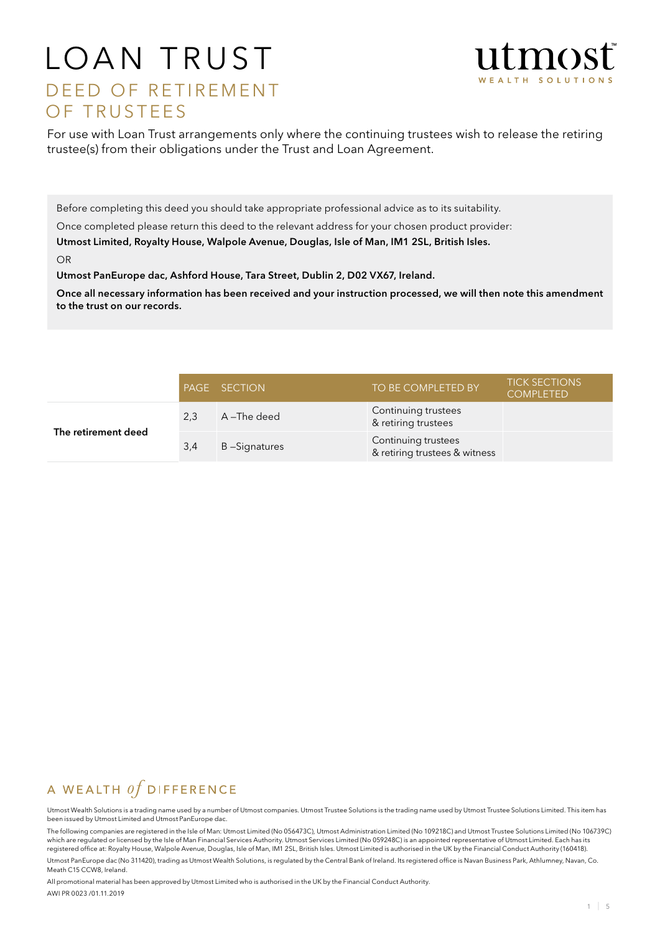# LOAN TRUST D E ED OF RETIREMENT OF TRUSTEES



For use with Loan Trust arrangements only where the continuing trustees wish to release the retiring trustee(s) from their obligations under the Trust and Loan Agreement.

Before completing this deed you should take appropriate professional advice as to its suitability.

Once completed please return this deed to the relevant address for your chosen product provider:

Utmost Limited, Royalty House, Walpole Avenue, Douglas, Isle of Man, IM1 2SL, British Isles.

OR

Utmost PanEurope dac, Ashford House, Tara Street, Dublin 2, D02 VX67, Ireland.

Once all necessary information has been received and your instruction processed, we will then note this amendment to the trust on our records.

|                     |     | <b>PAGE SECTION</b> | TO BE COMPLETED BY                                   | <b>TICK SECTIONS</b><br><b>COMPLETED</b> |
|---------------------|-----|---------------------|------------------------------------------------------|------------------------------------------|
|                     | 2,3 | A –The deed         | Continuing trustees<br>& retiring trustees           |                                          |
| The retirement deed | 3,4 | B-Signatures        | Continuing trustees<br>& retiring trustees & witness |                                          |

## A WEALTH  $of$  DIFFERENCE

Utmost Wealth Solutions is a trading name used by a number of Utmost companies. Utmost Trustee Solutions is the trading name used by Utmost Trustee Solutions Limited. This item has been issued by Utmost Limited and Utmost PanEurope dac.

The following companies are registered in the Isle of Man: Utmost Limited (No 056473C), Utmost Administration Limited (No 109218C) and Utmost Trustee Solutions Limited (No 106739C) which are regulated or licensed by the Isle of Man Financial Services Authority. Utmost Services Limited (No 059248C) is an appointed representative of Utmost Limited. Each has its registered office at: Royalty House, Walpole Avenue, Douglas, Isle of Man, IM1 2SL, British Isles. Utmost Limited is authorised in the UK by the Financial Conduct Authority (160418). Utmost PanEurope dac (No 311420), trading as Utmost Wealth Solutions, is regulated by the Central Bank of Ireland. Its registered office is Navan Business Park, Athlumney, Navan, Co. Meath C15 CCW8, Ireland.

All promotional material has been approved by Utmost Limited who is authorised in the UK by the Financial Conduct Authority. AWI PR 0023 /01.11.2019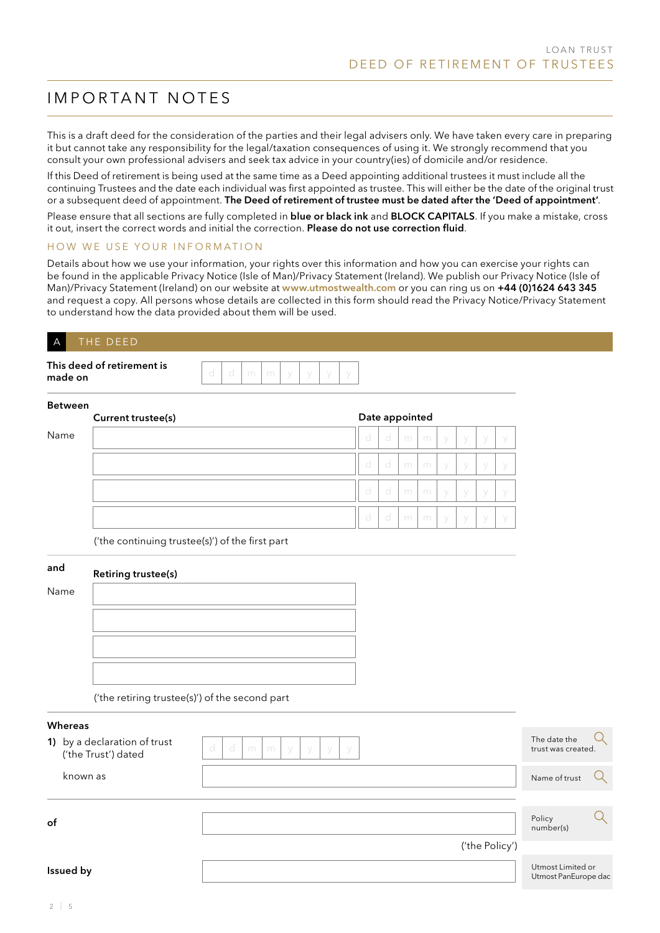# IMPORTANT NOTES

This is a draft deed for the consideration of the parties and their legal advisers only. We have taken every care in preparing it but cannot take any responsibility for the legal/taxation consequences of using it. We strongly recommend that you consult your own professional advisers and seek tax advice in your country(ies) of domicile and/or residence.

If this Deed of retirement is being used at the same time as a Deed appointing additional trustees it must include all the continuing Trustees and the date each individual was first appointed as trustee. This will either be the date of the original trust or a subsequent deed of appointment. The Deed of retirement of trustee must be dated after the 'Deed of appointment'.

Please ensure that all sections are fully completed in blue or black ink and BLOCK CAPITALS. If you make a mistake, cross it out, insert the correct words and initial the correction. Please do not use correction fluid.

### HOW WE USE YOUR INFORMATION

Details about how we use your information, your rights over this information and how you can exercise your rights can be found in the applicable Privacy Notice (Isle of Man)/Privacy Statement (Ireland). We publish our Privacy Notice (Isle of Man)/Privacy Statement (Ireland) on our website at www.utmostwealth.com or you can ring us on +44 (0)1624 643 345 and request a copy. All persons whose details are collected in this form should read the Privacy Notice/Privacy Statement to understand how the data provided about them will be used.

## A THE DEED

| This deed of retirement is |  |  |  |  |
|----------------------------|--|--|--|--|
| made on                    |  |  |  |  |

#### Between

|      | Current trustee(s) |   | Date appointed |   |   |        |     |     |  |
|------|--------------------|---|----------------|---|---|--------|-----|-----|--|
| Name |                    | d | d              | m | m | V      | - y | - V |  |
|      |                    | d | d              | m | m | V      | - y | - V |  |
|      |                    | d | -d             | m | m | V      | V   |     |  |
|      |                    | d | d              | m | m | $\vee$ | - V | - V |  |

('the continuing trustee(s)') of the first part

## and Name



('the retiring trustee(s)') of the second part

| <b>Whereas</b>                                      |                                          |                                           |  |
|-----------------------------------------------------|------------------------------------------|-------------------------------------------|--|
| 1) by a declaration of trust<br>('the Trust') dated | d<br>d<br>m<br>m<br>У<br>- y<br>У<br>- y | The date the<br>trust was created.        |  |
| known as                                            |                                          | Name of trust                             |  |
|                                                     |                                          |                                           |  |
| of                                                  |                                          | Policy<br>number(s)                       |  |
|                                                     | ('the Policy')                           |                                           |  |
| Issued by                                           |                                          | Utmost Limited or<br>Utmost PanEurope dac |  |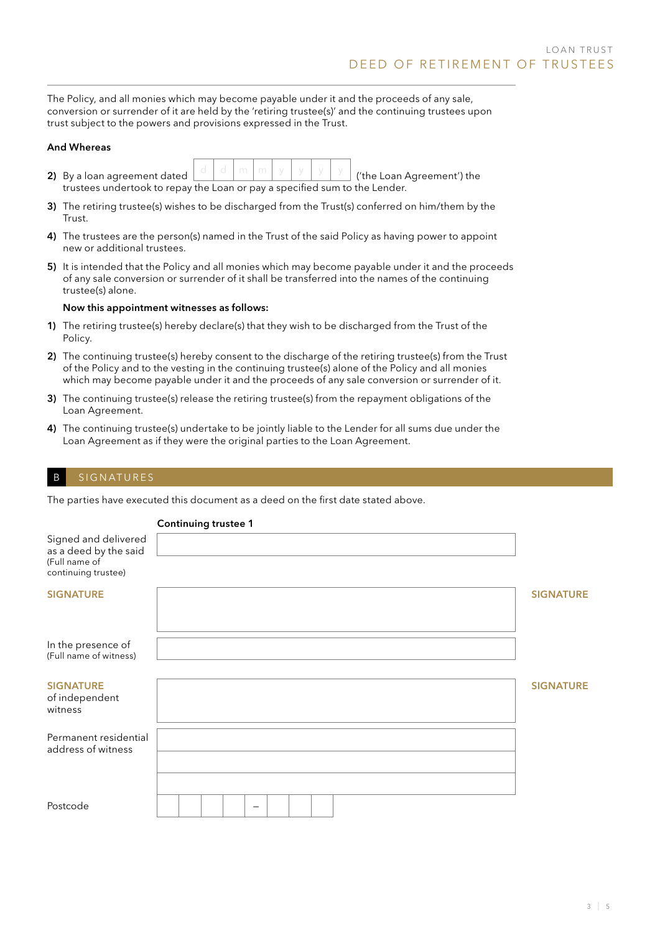The Policy, and all monies which may become payable under it and the proceeds of any sale, conversion or surrender of it are held by the 'retiring trustee(s)' and the continuing trustees upon trust subject to the powers and provisions expressed in the Trust.

#### And Whereas

- 2) By a loan agreement dated  $\lfloor \frac{a}{n} \rfloor$   $\lfloor \frac{m}{n} \rfloor$   $\lfloor \frac{y}{n} \rfloor$   $\lfloor \frac{y}{n} \rfloor$  ('the Loan Agreement') the trustees undertook to repay the Loan or pay a specified sum to the Lender.
- 3) The retiring trustee(s) wishes to be discharged from the Trust(s) conferred on him/them by the Trust.
- 4) The trustees are the person(s) named in the Trust of the said Policy as having power to appoint new or additional trustees.
- 5) It is intended that the Policy and all monies which may become payable under it and the proceeds of any sale conversion or surrender of it shall be transferred into the names of the continuing trustee(s) alone.

#### Now this appointment witnesses as follows:

- 1) The retiring trustee(s) hereby declare(s) that they wish to be discharged from the Trust of the Policy.
- 2) The continuing trustee(s) hereby consent to the discharge of the retiring trustee(s) from the Trust of the Policy and to the vesting in the continuing trustee(s) alone of the Policy and all monies which may become payable under it and the proceeds of any sale conversion or surrender of it.
- 3) The continuing trustee(s) release the retiring trustee(s) from the repayment obligations of the Loan Agreement.
- 4) The continuing trustee(s) undertake to be jointly liable to the Lender for all sums due under the Loan Agreement as if they were the original parties to the Loan Agreement.

## B SIGNATURES

The parties have executed this document as a deed on the first date stated above.

Continuing trustee 1

|                                                                                       | Continuing trustee T |                  |
|---------------------------------------------------------------------------------------|----------------------|------------------|
| Signed and delivered<br>as a deed by the said<br>(Full name of<br>continuing trustee) |                      |                  |
|                                                                                       |                      |                  |
| <b>SIGNATURE</b>                                                                      |                      | <b>SIGNATURE</b> |
| In the presence of<br>(Full name of witness)                                          |                      |                  |
| <b>SIGNATURE</b><br>of independent<br>witness                                         |                      | <b>SIGNATURE</b> |
| Permanent residential<br>address of witness                                           |                      |                  |
| Postcode                                                                              | -                    |                  |
|                                                                                       |                      |                  |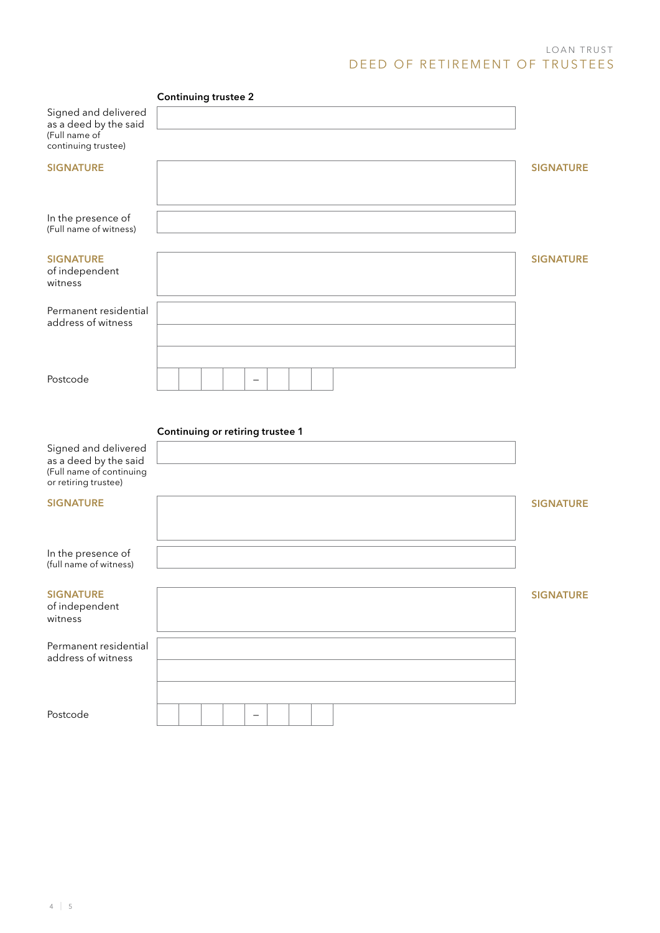## LOAN TRUST DEED OF RETIREMENT OF TRUSTEES

|                                                                                                   | <b>Continuing trustee 2</b>      |                  |
|---------------------------------------------------------------------------------------------------|----------------------------------|------------------|
| Signed and delivered<br>as a deed by the said<br>(Full name of<br>continuing trustee)             |                                  |                  |
| <b>SIGNATURE</b>                                                                                  |                                  | <b>SIGNATURE</b> |
| In the presence of<br>(Full name of witness)                                                      |                                  |                  |
| <b>SIGNATURE</b><br>of independent<br>witness                                                     |                                  | <b>SIGNATURE</b> |
| Permanent residential<br>address of witness                                                       |                                  |                  |
| Postcode                                                                                          | $\qquad \qquad -$                |                  |
|                                                                                                   |                                  |                  |
|                                                                                                   | Continuing or retiring trustee 1 |                  |
| Signed and delivered<br>as a deed by the said<br>(Full name of continuing<br>or retiring trustee) |                                  |                  |
| <b>SIGNATURE</b>                                                                                  |                                  | <b>SIGNATURE</b> |
| In the presence of<br>(full name of witness)                                                      |                                  |                  |
| <b>SIGNATURE</b><br>of independent<br>witness                                                     |                                  | <b>SIGNATURE</b> |
| Permanent residential<br>address of witness                                                       |                                  |                  |